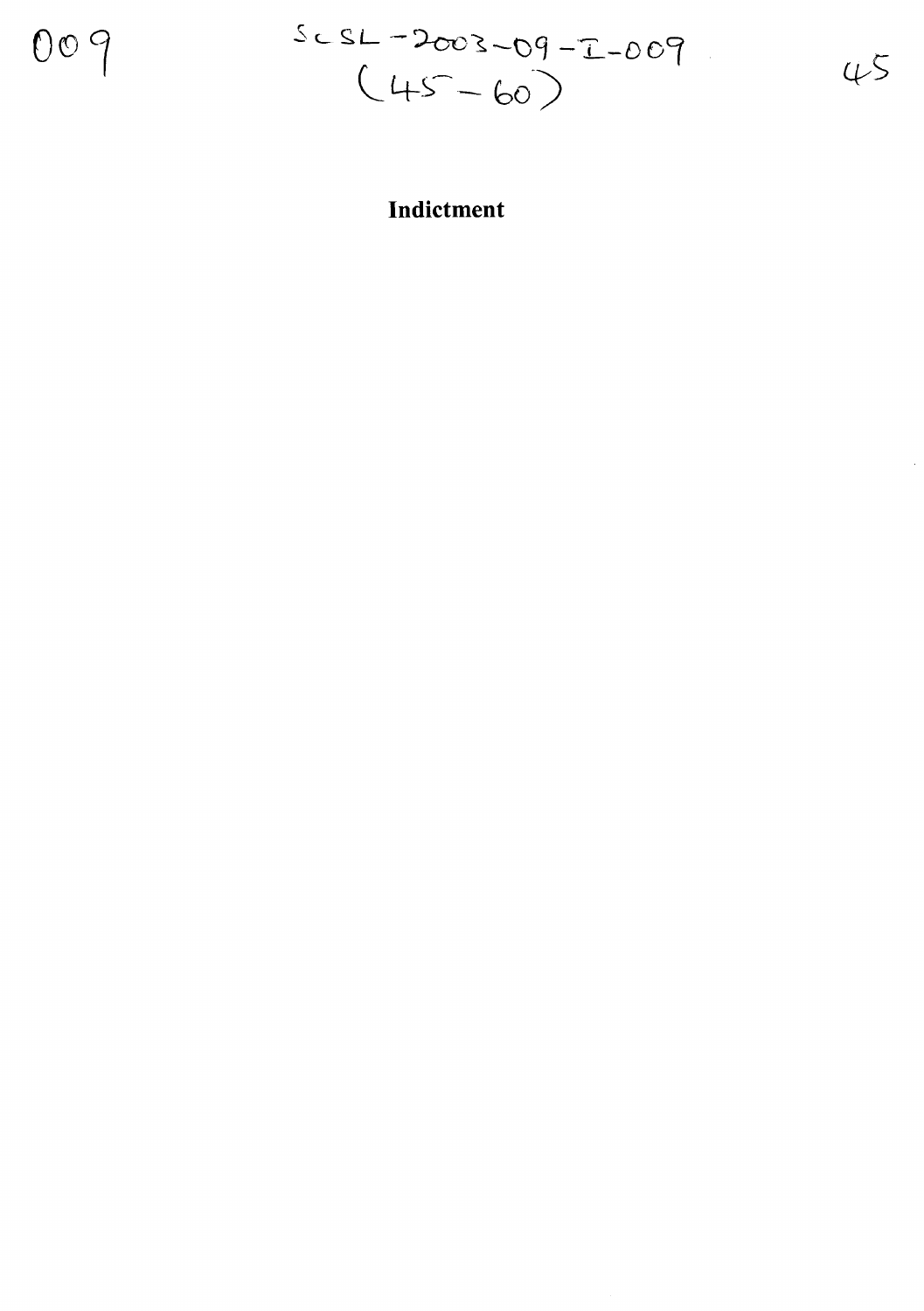009

.s **<sup>L</sup> S-L** ~?-cos.**-cg** -'7 **-DOf**  $45$  $(45-60)$ 

## **Indictment**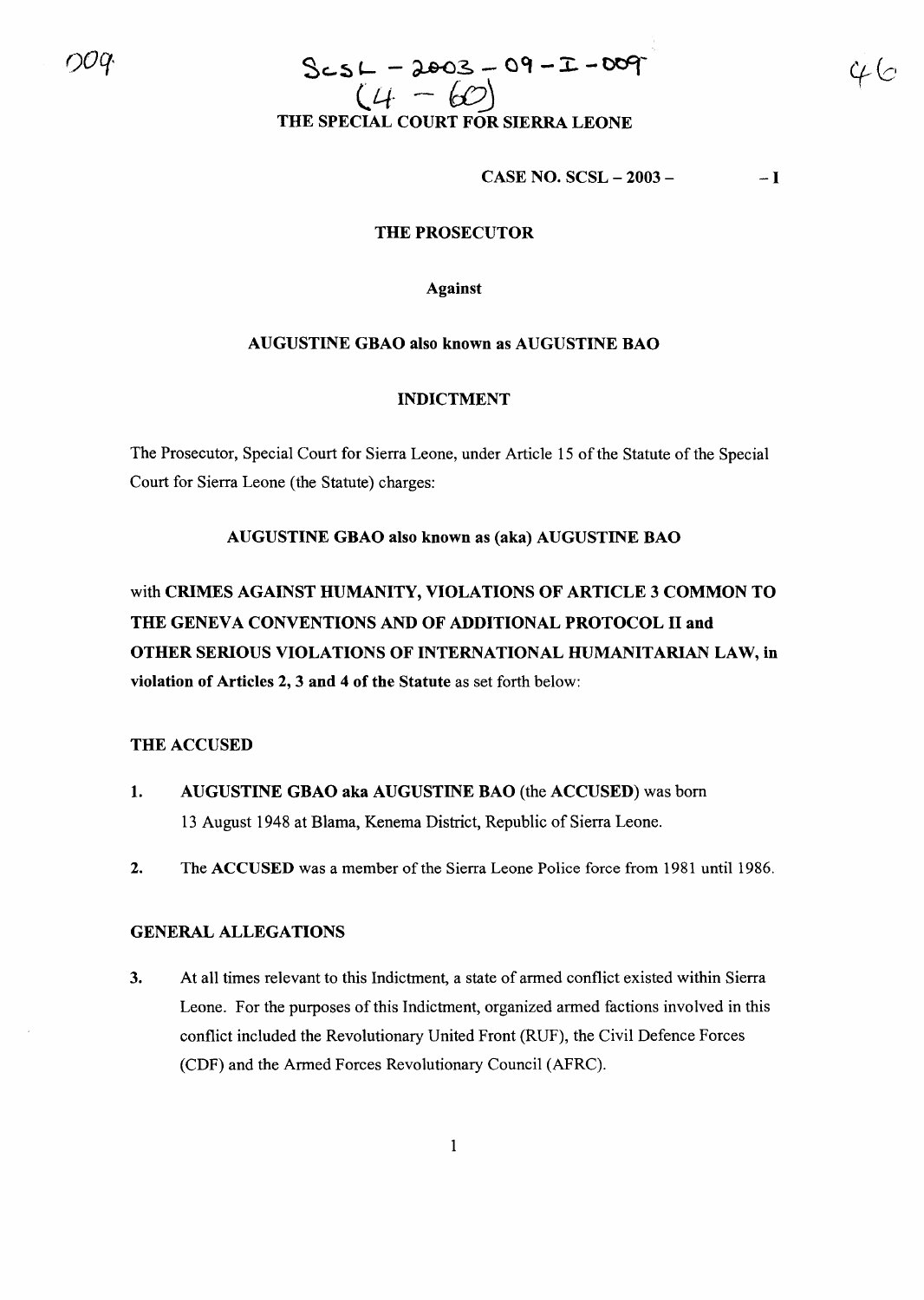# $0.09$  ScsL - 2003 - 09 - I-009  $SCSL = dscS = 0.720$ <br>( $4 - 60$ )<br>THE SPECIAL COURT FOR SIERRA LEONE

CASE NO. SCSL - 2003 -  $-1$ 

#### THE PROSECUTOR

Against

#### AUGUSTINE GBAO also known as AUGUSTINE BAO

#### INDICTMENT

The Prosecutor, Special Court for Sierra Leone, under Article 15 of the Statute of the Special Court for Sierra Leone (the Statute) charges:

#### AUGUSTINE GBAO also known as (aka) AUGUSTINE BAO

with CRIMES AGAINST HUMANITY, VIOLATIONS OF ARTICLE 3 COMMON TO THE GENEVA CONVENTIONS AND OF ADDITIONAL PROTOCOL II and OTHER SERIOUS VIOLATIONS OF INTERNATIONAL HUMANITARIAN LAW, in violation of Articles 2, 3 and 4 of the Statute as set forth below:

#### THE ACCUSED

- 1. AUGUSTINE GBAO aka AUGUSTINE BAO (the ACCUSED) was born 13 August 1948 at Blama, Kenema District, Republic of Sierra Leone.
- 2. The ACCUSED was a member of the Sierra Leone Police force from 1981 until 1986.

#### GENERAL ALLEGATIONS

3. At all times relevant to this Indictment, a state of armed conflict existed within Sierra Leone. For the purposes of this Indictment, organized armed factions involved in this conflict included the Revolutionary United Front (RUF), the Civil Defence Forces (CDF) and the Armed Forces Revolutionary Council (AFRC).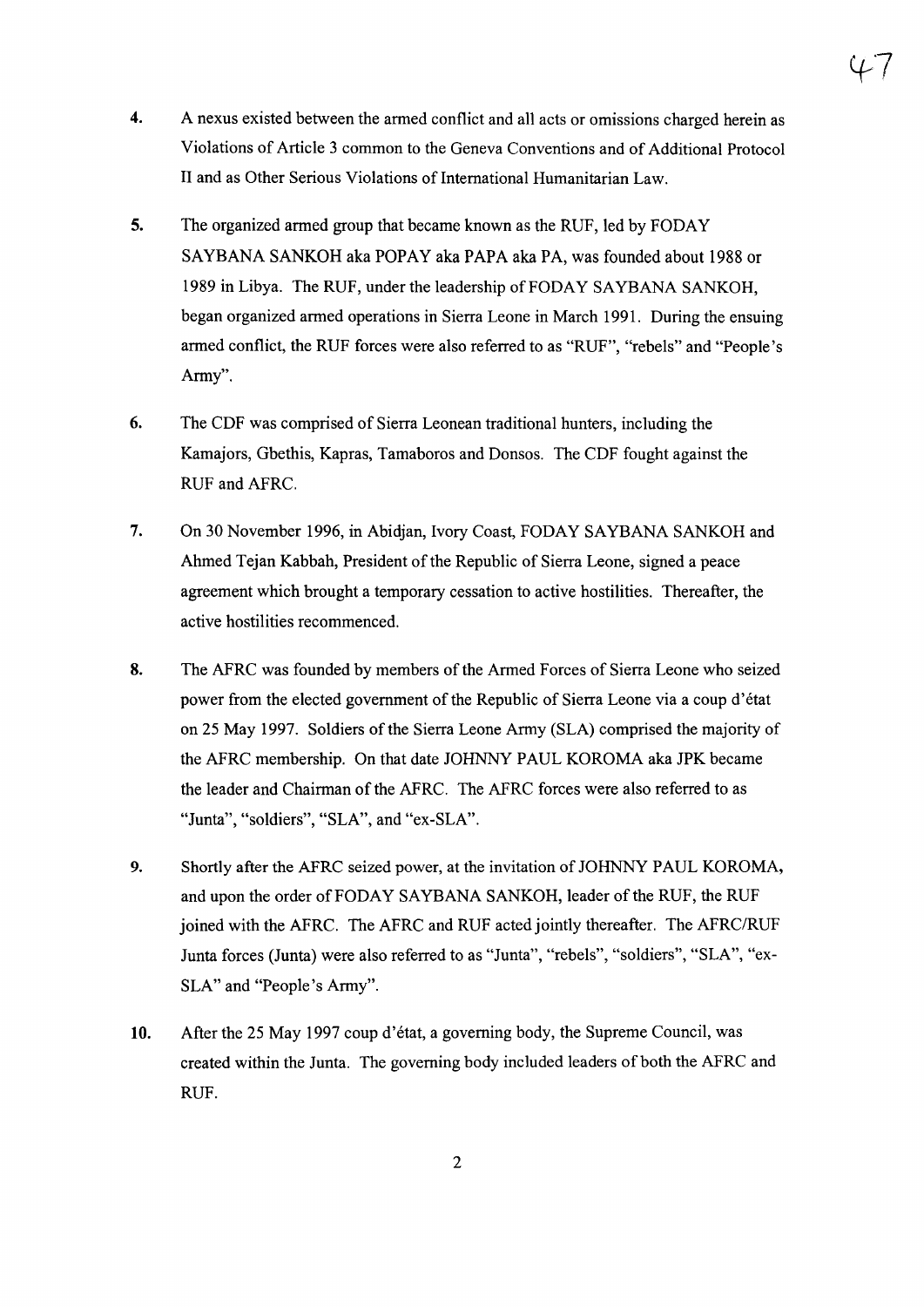- 4. A nexus existed between the armed conflict and all acts or omissions charged herein as Violations of Article 3 common to the Geneva Conventions and of Additional Protocol II and as Other Serious Violations of International Humanitarian Law.
- 5. The organized armed group that became known as the RUF, led by FODAY SAYBANA SANKOH aka POPAY aka PAPA aka PA, was founded about 1988 or 1989 in Libya. The RUF, under the leadership of FODAY SAYBANA SANKOH, began organized armed operations in Sierra Leone in March 1991. During the ensuing armed conflict, the RUF forces were also referred to as "RUF", "rebels" and "People's Army".
- 6. The CDF was comprised of Sierra Leonean traditional hunters, including the Kamajors, Gbethis, Kapras, Tamaboros and Donsos. The CDF fought against the RUF and AFRC.
- 7. On 30 November 1996, in Abidjan, Ivory Coast, FODAY SAYBANA SANKOH and Ahmed Tejan Kabbah, President of the Republic of Sierra Leone, signed a peace agreement which brought a temporary cessation to active hostilities. Thereafter, the active hostilities recommenced.
- 8. The AFRC was founded by members of the Armed Forces of Sierra Leone who seized power from the elected government of the Republic of Sierra Leone via a coup d'état on 25 May 1997. Soldiers ofthe Sierra Leone Army (SLA) comprised the majority of the AFRC membership. On that date JOHNNY PAUL KOROMA aka JPK became the leader and Chairman of the AFRC. The AFRC forces were also referred to as "Junta", "soldiers", "SLA", and "ex-SLA".
- 9. Shortly after the AFRC seized power, at the invitation of JOHNNY PAUL KOROMA, and upon the order of FODAY SAYBANA SANKOH, leader ofthe RUF, the RUF joined with the AFRC. The AFRC and RUF acted jointly thereafter. The AFRC/RUF Junta forces (Junta) were also referred to as "Junta", "rebels", "soldiers", "SLA", "ex-SLA" and "People's Army".
- 10. After the 25 May 1997 coup d'etat, a governing body, the Supreme Council, was created within the Junta. The governing body included leaders of both the AFRC and RUF.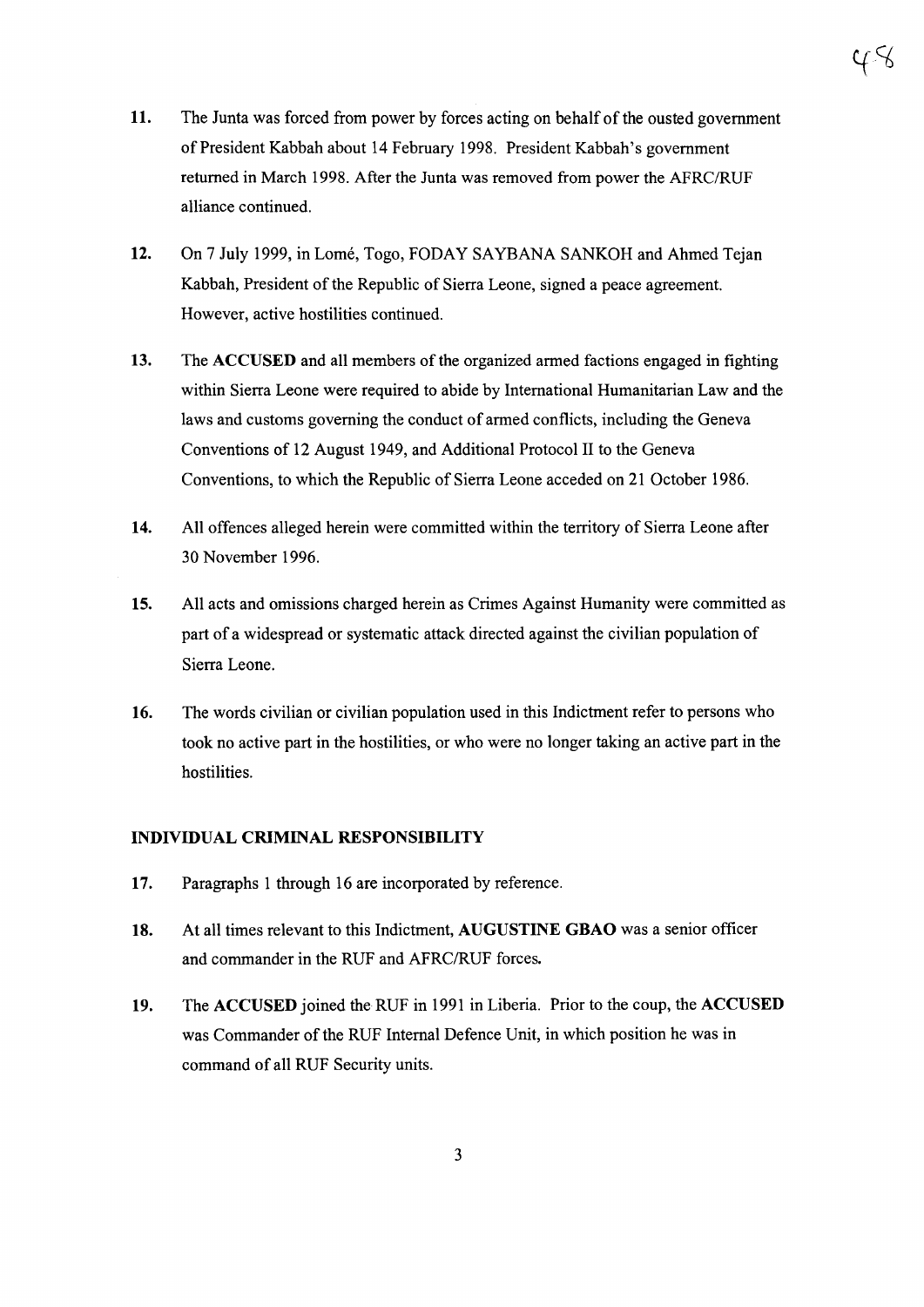- 11. The Junta was forced from power by forces acting on behalf of the ousted government of President Kabbah about 14 February 1998. President Kabbah's government returned in March 1998. After the Junta was removed from power the AFRC/RUF alliance continued.
- **12.** On 7 July 1999, in Lome, Togo, FODAY SAYBANA SANKOH and Ahmed Tejan Kabbah, President of the Republic of Sierra Leone, signed a peace agreement. However, active hostilities continued.
- **13.** The **ACCUSED** and all members of the organized armed factions engaged in fighting within Sierra Leone were required to abide by International Humanitarian Law and the laws and customs governing the conduct of armed conflicts, including the Geneva Conventions of 12 August 1949, and Additional Protocol II to the Geneva Conventions, to which the Republic of Sierra Leone acceded on 21 October 1986.
- **14.** All offences alleged herein were committed within the territory of Sierra Leone after 30 November 1996.
- **15.** All acts and omissions charged herein as Crimes Against Humanity were committed as part of a widespread or systematic attack directed against the civilian population of Sierra Leone.
- **16.** The words civilian or civilian population used in this Indictment refer to persons who took no active part in the hostilities, or who were no longer taking an active part in the hostilities.

#### **INDIVIDUAL CRIMINAL RESPONSIBILITY**

- **17.** Paragraphs 1 through 16 are incorporated by reference.
- **18.** At all times relevant to this Indictment, **AUGUSTINE GBAO** was a senior officer and commander in the RUF and AFRC/RUF forces.
- **19.** The **ACCUSED** joined theRUF in 1991 in Liberia. Prior to the coup, the **ACCUSED** was Commander of the RUF Internal Defence Unit, in which position he was in command of all RUF Security units.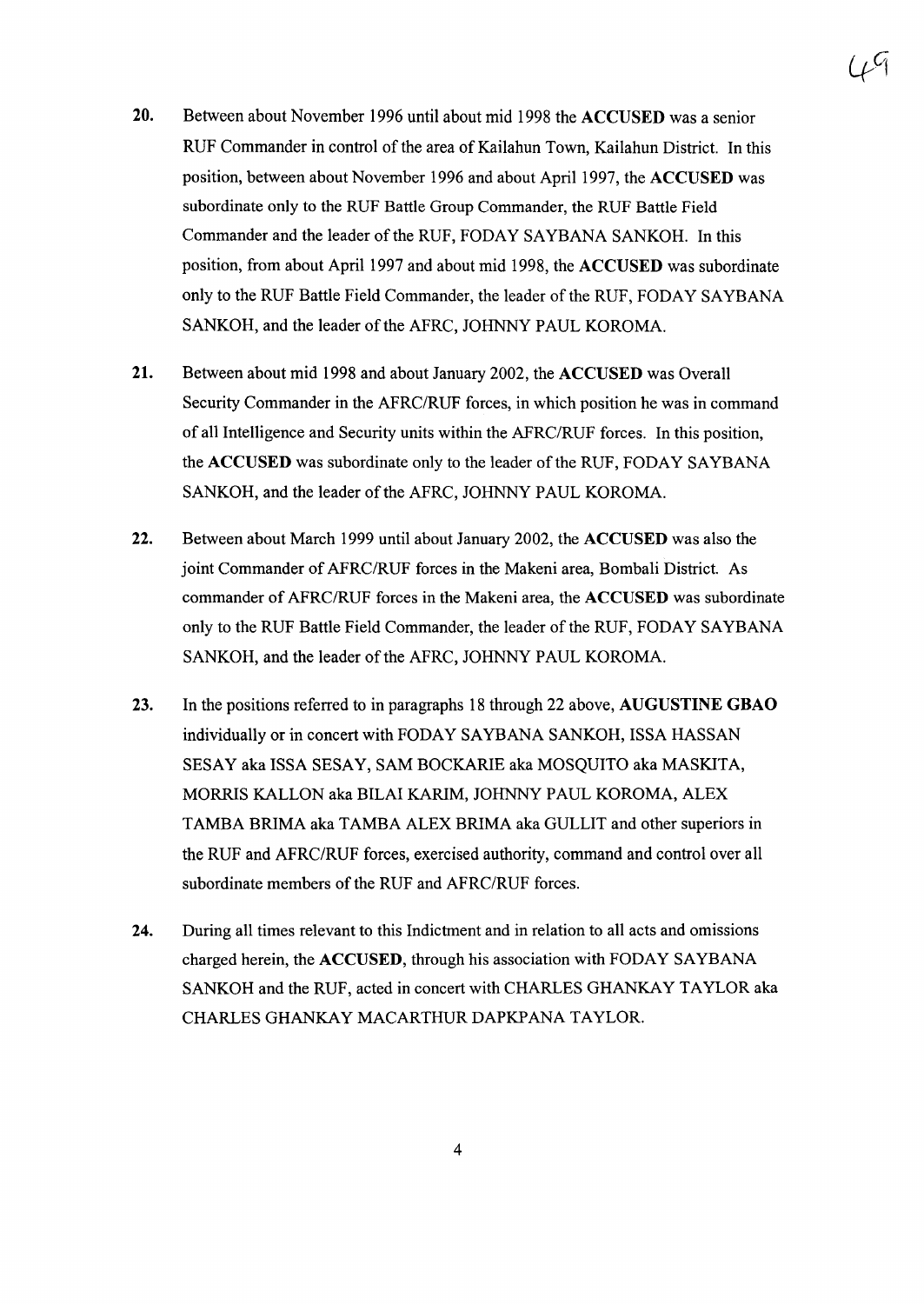- 20. Between about November 1996 until about mid 1998 the ACCUSED was a senior RUF Commander in control of the area of Kailahun Town, Kailahun District. In this position, between about November 1996 and about April 1997, the ACCUSED was subordinate only to the RUF Battle Group Commander, the RUF Battle Field Commander and the leader of the RUF, FODAY SAYBANA SANKOH. In this position, from about April 1997 and about mid 1998, the ACCUSED was subordinate only to the RUF Battle Field Commander, the leader ofthe RUF, FODAY SAYBANA SANKOH, and the leader of the AFRC, JOHNNY PAUL KOROMA.
- 21. Between about mid 1998 and about January 2002, the ACCUSED was Overall Security Commander in the AFRC/RUF forces, in which position he was in command of all Intelligence and Security units within the AFRC/RUF forces. In this position, the ACCUSED was subordinate only to the leader of the RUF, FODAY SAYBANA SANKOH, and the leader of the AFRC, JOHNNY PAUL KOROMA.
- 22. Between about March 1999 until about January 2002, the ACCUSED was also the joint Commander of AFRC/RUF forces in the Makeni area, Bombali District. As commander of AFRC/RUF forces in the Makeni area, the ACCUSED was subordinate only to the RUF Battle Field Commander, the leader ofthe RUF, FODAY SAYBANA SANKOH, and the leader of the AFRC, JOHNNY PAUL KOROMA.
- 23. In the positions referred to in paragraphs 18 through 22 above, AUGUSTINE GBAO individually or in concert with FODAY SAYBANA SANKOH, ISSA HASSAN SESAY aka ISSA SESAY, SAM BOCKARIE aka MOSQUITO aka MASKITA, MORRIS KALLON aka BILAI KARIM, JOHNNY PAUL KOROMA, ALEX TAMBA BRIMA aka TAMBA ALEX BRIMA aka GULLIT and other superiors in the RUF and AFRC/RUF forces, exercised authority, command and control over all subordinate members of the RUF and AFRC/RUF forces.
- 24. During all times relevant to this Indictment and in relation to all acts and omissions charged herein, the ACCUSED, through his association with FODAY SAYBANA SANKOH and the RUF, acted in concert with CHARLES GHANKAY TAYLOR aka CHARLES GHANKAY MACARTHUR DAPKPANA TAYLOR.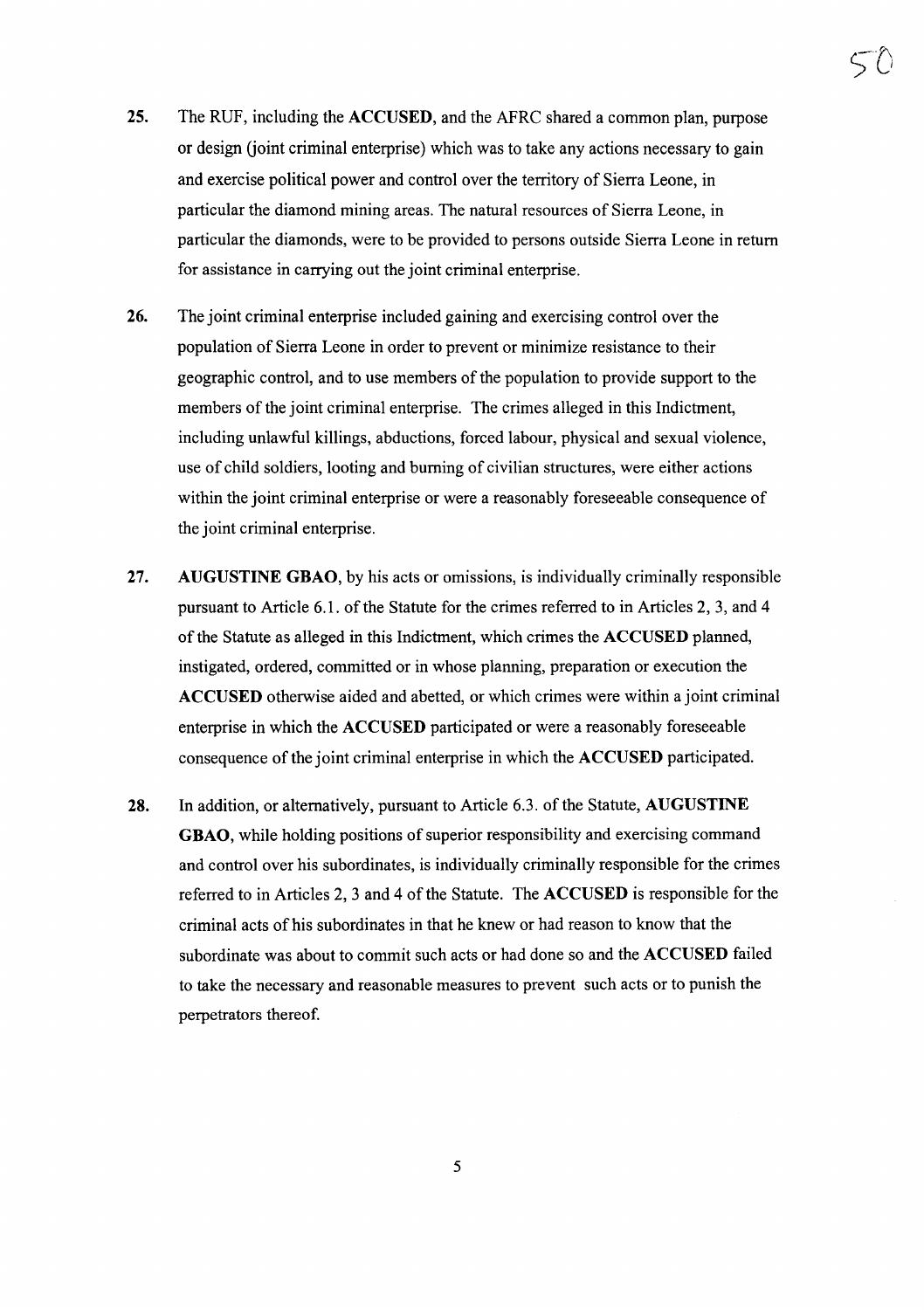- 25. The RUF, including the ACCUSED, and the AFRC shared a common plan, purpose or design (joint criminal enterprise) which was to take any actions necessary to gain and exercise political power and control over the territory of Sierra Leone, in particular the diamond mining areas. The natural resources of Sierra Leone, in particular the diamonds, were to be provided to persons outside Sierra Leone in return for assistance in carrying out the joint criminal enterprise.
- 26. The joint criminal enterprise included gaining and exercising control over the population of Sierra Leone in order to prevent or minimize resistance to their geographic control, and to use members of the population to provide support to the members of the joint criminal enterprise. The crimes alleged in this Indictment, including unlawful killings, abductions, forced labour, physical and sexual violence, use of child soldiers, looting and burning of civilian structures, were either actions within the joint criminal enterprise or were a reasonably foreseeable consequence of the joint criminal enterprise.
- 27. AUGUSTINE GBAO, by his acts or omissions, is individually criminally responsible pursuant to Article 6.1. of the Statute for the crimes referred to in Articles 2, 3, and 4 of the Statute as alleged in this Indictment, which crimes the ACCUSED planned, instigated, ordered, committed or in whose planning, preparation or execution the ACCUSED otherwise aided and abetted, or which crimes were within a joint criminal enterprise in which the ACCUSED participated or were a reasonably foreseeable consequence of the joint criminal enterprise in which the ACCUSED participated.
- 28. In addition, or alternatively, pursuant to Article 6.3. of the Statute, AUGUSTINE GBAO, while holding positions of superior responsibility and exercising command and control over his subordinates, is individually criminally responsible for the crimes referred to in Articles 2, 3 and 4 of the Statute. The ACCUSED is responsible for the criminal acts of his subordinates in that he knew or had reason to know that the subordinate was about to commit such acts or had done so and the ACCUSED failed to take the necessary and reasonable measures to prevent such acts or to punish the perpetrators thereof.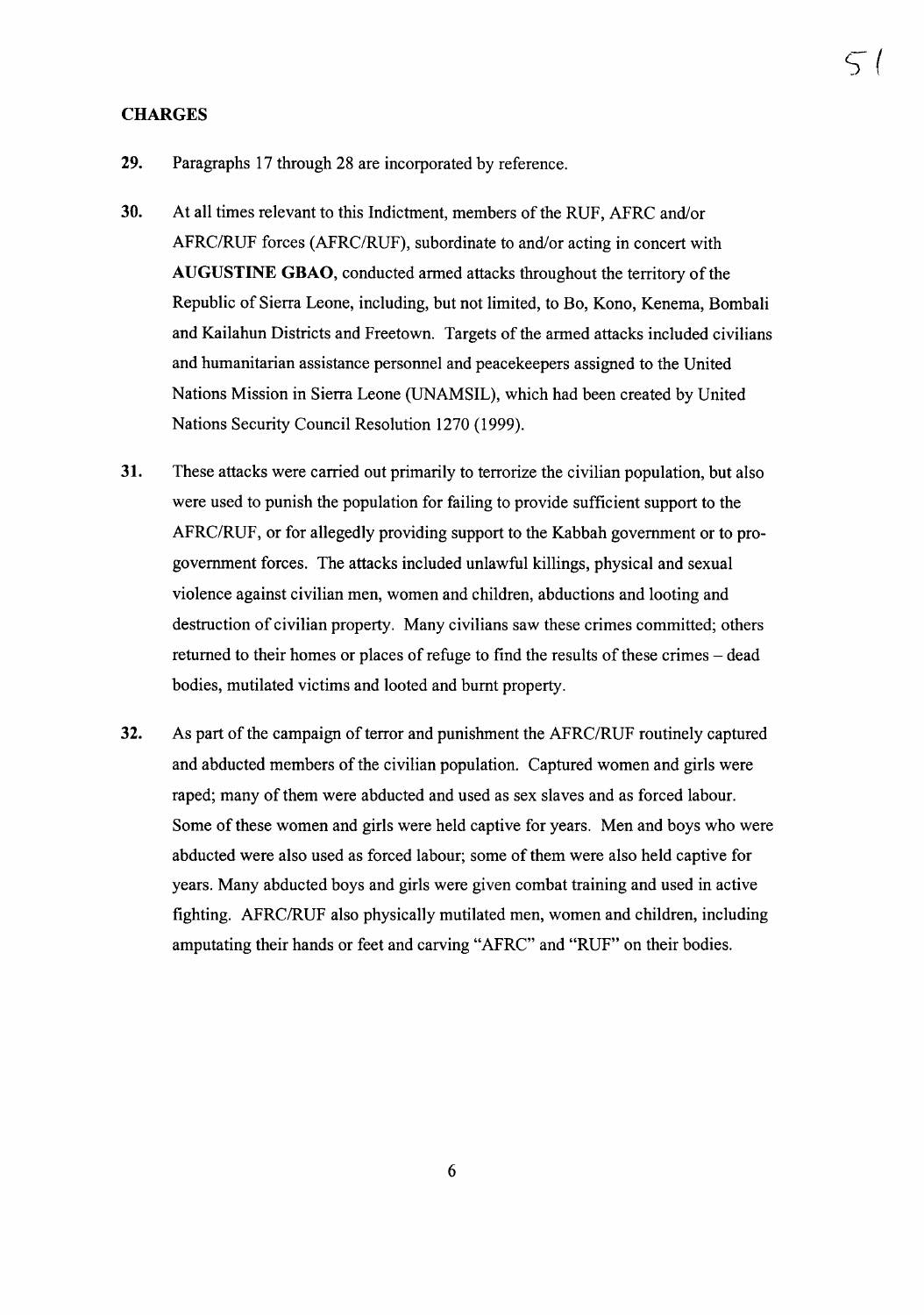#### **CHARGES**

- 29. Paragraphs 17 through 28 are incorporated by reference.
- 30. At all times relevant to this Indictment, members of the RUF, AFRC and/or AFRC/RUF forces (AFRC/RUF), subordinate to and/or acting in concert with AUGUSTINE GBAO, conducted armed attacks throughout the territory of the Republic of Sierra Leone, including, but not limited, to Bo, Kono, Kenema, Bombali and Kailahun Districts and Freetown. Targets of the armed attacks included civilians and humanitarian assistance personnel and peacekeepers assigned to the United Nations Mission in Sierra Leone (UNAMSIL), which had been created by United Nations Security Council Resolution 1270 (1999).

s (

- 31. These attacks were carried out primarily to terrorize the civilian population, but also were used to punish the population for failing to provide sufficient support to the AFRC/RUF, or for allegedly providing support to the Kabbah government or to progovernment forces. The attacks included unlawful killings, physical and sexual violence against civilian men, women and children, abductions and looting and destruction of civilian property. Many civilians saw these crimes committed; others returned to their homes or places of refuge to find the results of these crimes – dead bodies, mutilated victims and looted and burnt property.
- 32. As part of the campaign of terror and punishment the AFRC/RUF routinely captured and abducted members of the civilian population. Captured women and girls were raped; many of them were abducted and used as sex slaves and as forced labour. Some ofthese women and girls were held captive for years. Men and boys who were abducted were also used as forced labour; some of them were also held captive for years. Many abducted boys and girls were given combat training and used in active fighting. AFRC/RUF also physically mutilated men, women and children, including amputating their hands or feet and carving "AFRC" and "RUF" on their bodies.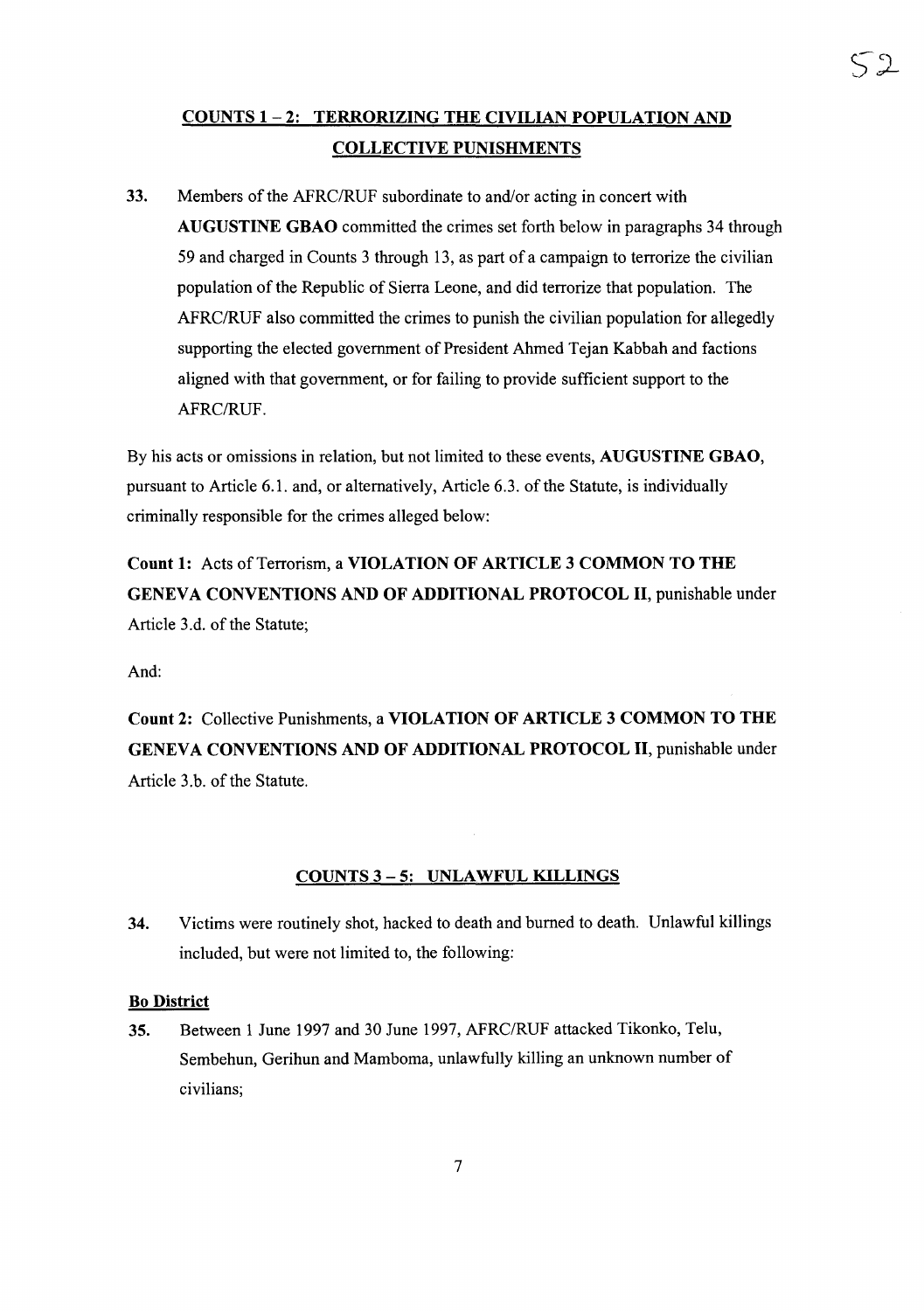### COUNTS 1-2: TERRORIZING THE CIVILIAN POPULATION AND COLLECTIVE PUNISHMENTS

33. Members of the AFRC/RUF subordinate to and/or acting in concert with AUGUSTINE GBAO committed the crimes set forth below in paragraphs 34 through 59 and charged in Counts 3 through 13, as part of a campaign to terrorize the civilian population of the Republic of Sierra Leone, and did terrorize that population. The AFRC/RUF also committed the crimes to punish the civilian population for allegedly supporting the elected government of President Ahmed Tejan Kabbah and factions aligned with that government, or for failing to provide sufficient support to the AFRC/RUF.

By his acts or omissions in relation, but not limited to these events, AUGUSTINE GBAO, pursuant to Article 6.1. and, or alternatively, Article 6.3. of the Statute, is individually criminally responsible for the crimes alleged below:

Count 1: Acts of Terrorism, a VIOLATION OF ARTICLE 3 COMMON TO THE GENEVA CONVENTIONS AND OF ADDITIONAL PROTOCOL II, punishable under Article 3.d. of the Statute;

And:

Count 2: Collective Punishments, a VIOLATION OF ARTICLE 3 COMMON TO THE GENEVA CONVENTIONS AND OF ADDITIONAL PROTOCOL II, punishable under Article 3.b. of the Statute.

#### COUNTS 3 - 5: UNLAWFUL KILLINGS

34. Victims were routinely shot, hacked to death and burned to death. Unlawful killings included, but were not limited to, the following:

#### Bo District

35. Between 1 June 1997 and 30 June 1997, AFRC/RUF attacked Tikonko, Telu, Sembehun, Gerihun and Mamboma, unlawfully killing an unknown number of civilians;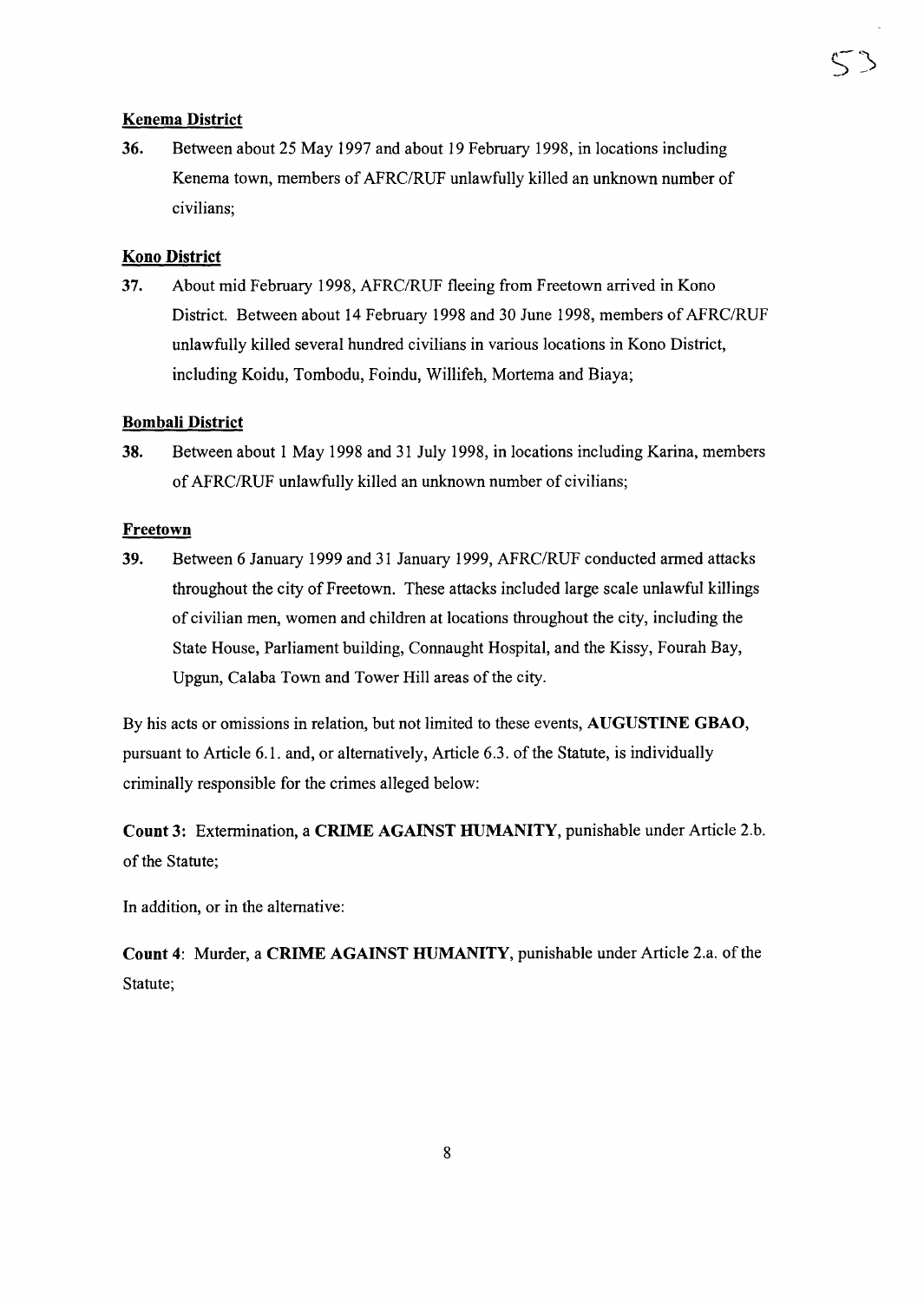#### **Kenema District**

36. Between about 25 May 1997 and about 19 February 1998, in locations including Kenema town, members of AFRC/RUF unlawfully killed an unknown number of civilians;

#### **Kana District**

37. About mid February 1998, AFRC/RUF fleeing from Freetown arrived in Kono District. Between about 14 February 1998 and 30 June 1998, members of AFRC/RUF unlawfully killed several hundred civilians in various locations in Kono District, including Koidu, Tombodu, Foindu, Willifeh, Mortema and Biaya;

#### **Bombali District**

38. Between about 1 May 1998 and 31 July 1998, in locations including Karina, members of AFRC/RUF unlawfully killed an unknown number of civilians;

#### **Freetown**

39. Between 6 January 1999 and 31 January 1999, AFRC/RUF conducted armed attacks throughout the city of Freetown. These attacks included large scale unlawful killings of civilian men, women and children at locations throughout the city, including the State House, Parliament building, Connaught Hospital, and the Kissy, Fourah Bay, Upgun, Calaba Town and Tower Hill areas of the city.

By his acts or omissions in relation, but not limited to these events, **AUGUSTINE GBAO,** pursuant to Article 6.1. and, or alternatively, Article 6.3. of the Statute, is individually criminally responsible for the crimes alleged below:

**Count** 3: Extermination, a **CRIME AGAINST HUMANITY,** punishable under Article 2.b. of the Statute;

In addition, or in the alternative:

**Count** 4: Murder, a **CRIME AGAINST HUMANITY,** punishable under Article 2.a. ofthe Statute;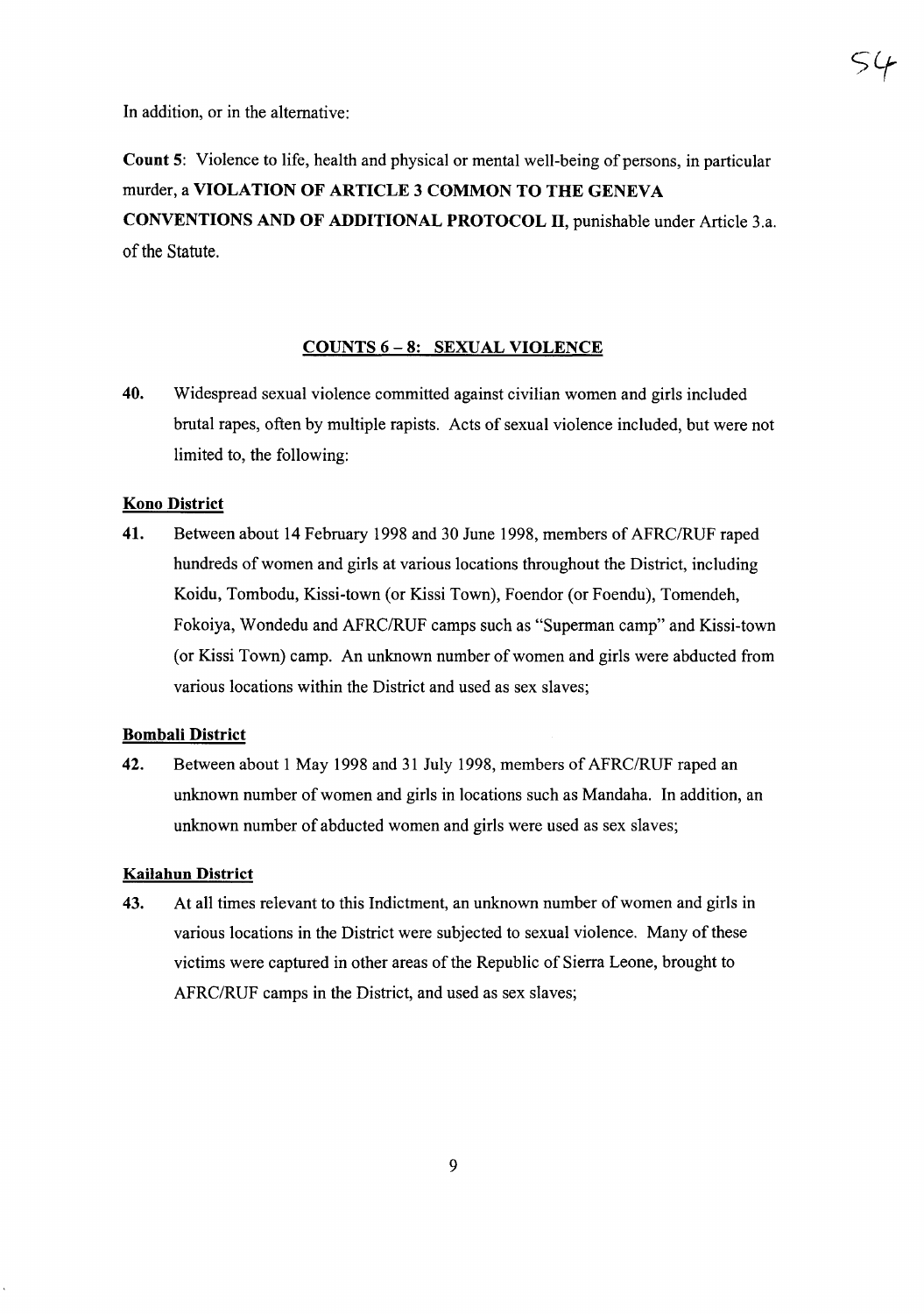In addition, or in the alternative:

Count 5: Violence to life, health and physical or mental well-being of persons, in particular murder, a VIOLATION OF ARTICLE 3 COMMON TO THE GENEVA CONVENTIONS AND OF ADDITIONAL PROTOCOL II, punishable under Article 3.a. of the Statute.

#### COUNTS 6 - 8: SEXUAL VIOLENCE

40. Widespread sexual violence committed against civilian women and girls included brutal rapes, often by multiple rapists. Acts of sexual violence included, but were not limited to, the following:

#### Kono District

41. Between about 14 February 1998 and 30 June 1998, members of AFRC/RUF raped hundreds of women and girls at various locations throughout the District, including Koidu, Tombodu, Kissi-town (or Kissi Town), Foendor (or Foendu), Tomendeh, Fokoiya, Wondedu and AFRC/RUF camps such as "Superman camp" and Kissi-town (or Kissi Town) camp. An unknown number of women and girls were abducted from various locations within the District and used as sex slaves;

#### Bombali District

42. Between about 1 May 1998 and 31 July 1998, members of AFRC/RUF raped an unknown number of women and girls in locations such as Mandaha. In addition, an unknown number of abducted women and girls were used as sex slaves;

#### Kailahun District

43. At all times relevant to this Indictment, an unknown number of women and girls in various locations in the District were subjected to sexual violence. Many ofthese victims were captured in other areas of the Republic of Sierra Leone, brought to AFRC/RUF camps in the District, and used as sex slaves;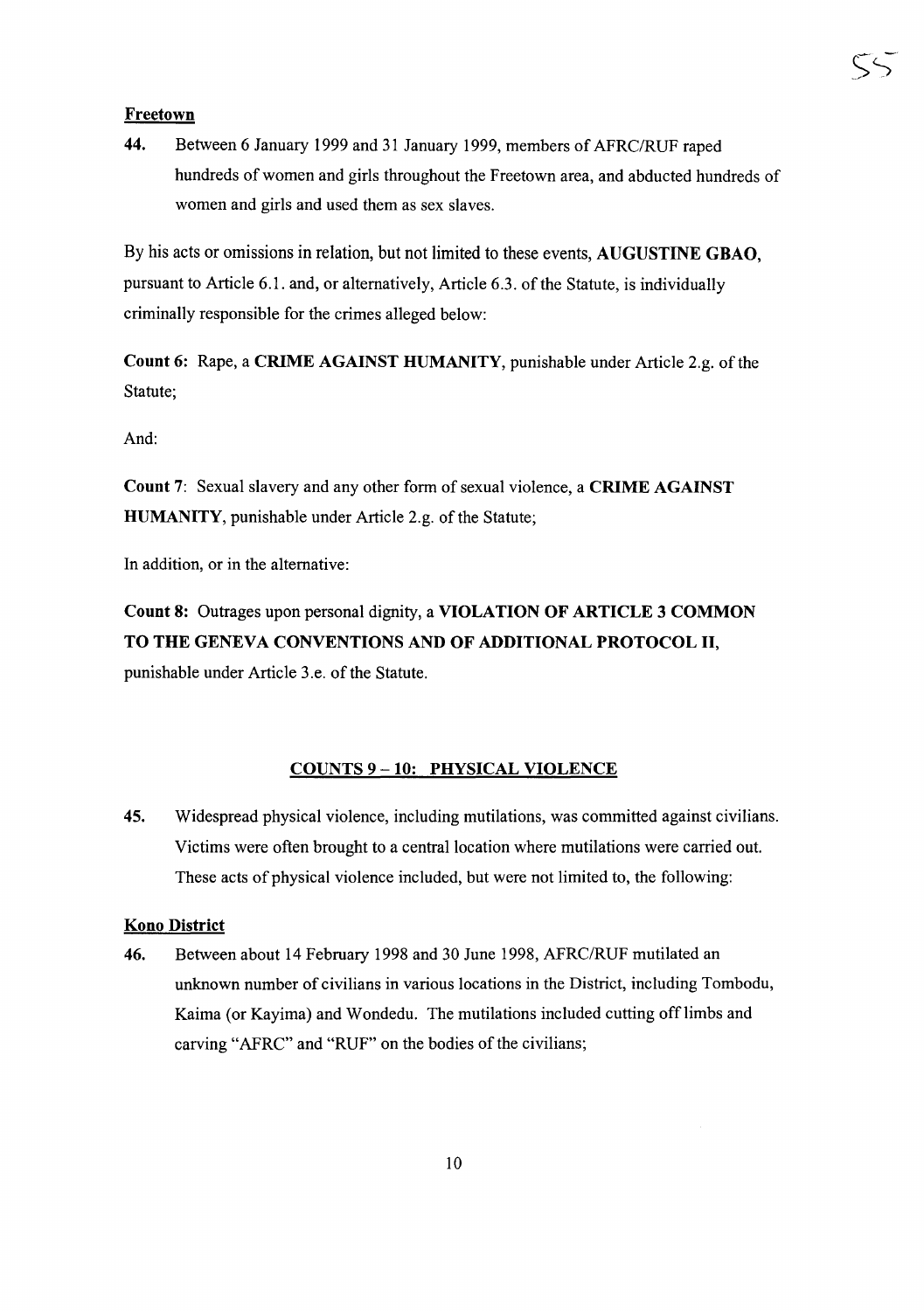44. Between 6 January 1999 and 31 January 1999, members of AFRC/RUF raped hundreds of women and girls throughout the Freetown area, and abducted hundreds of women and girls and used them as sex slaves.

By his acts or omissions in relation, but not limited to these events, AUGUSTINE GBAO, pursuant to Article 6.1. and, or alternatively, Article 6.3. of the Statute, is individually criminally responsible for the crimes alleged below:

Count 6: Rape, a CRIME AGAINST HUMANITY, punishable under Article 2.g. of the Statute;

And:

Count 7: Sexual slavery and any other form of sexual violence, a CRIME AGAINST HUMANITY, punishable under Article 2.g. of the Statute;

In addition, or in the alternative:

Count 8: Outrages upon personal dignity, a VIOLATION OF ARTICLE 3 COMMON TO THE GENEVA CONVENTIONS AND OF ADDITIONAL PROTOCOL II, punishable under Article 3.e. of the Statute.

#### COUNTS 9-10: PHYSICAL VIOLENCE

45. Widespread physical violence, including mutilations, was committed against civilians. Victims were often brought to a central location where mutilations were carried out. These acts of physical violence included, but were not limited to, the following:

#### Kono District

46. Between about 14 February 1998 and 30 June 1998, AFRC/RUF mutilated an unknown number of civilians in various locations in the District, including Tombodu, Kaima (or Kayima) and Wondedu. The mutilations included cutting offlimbs and carving "AFRC" and "RUF" on the bodies of the civilians;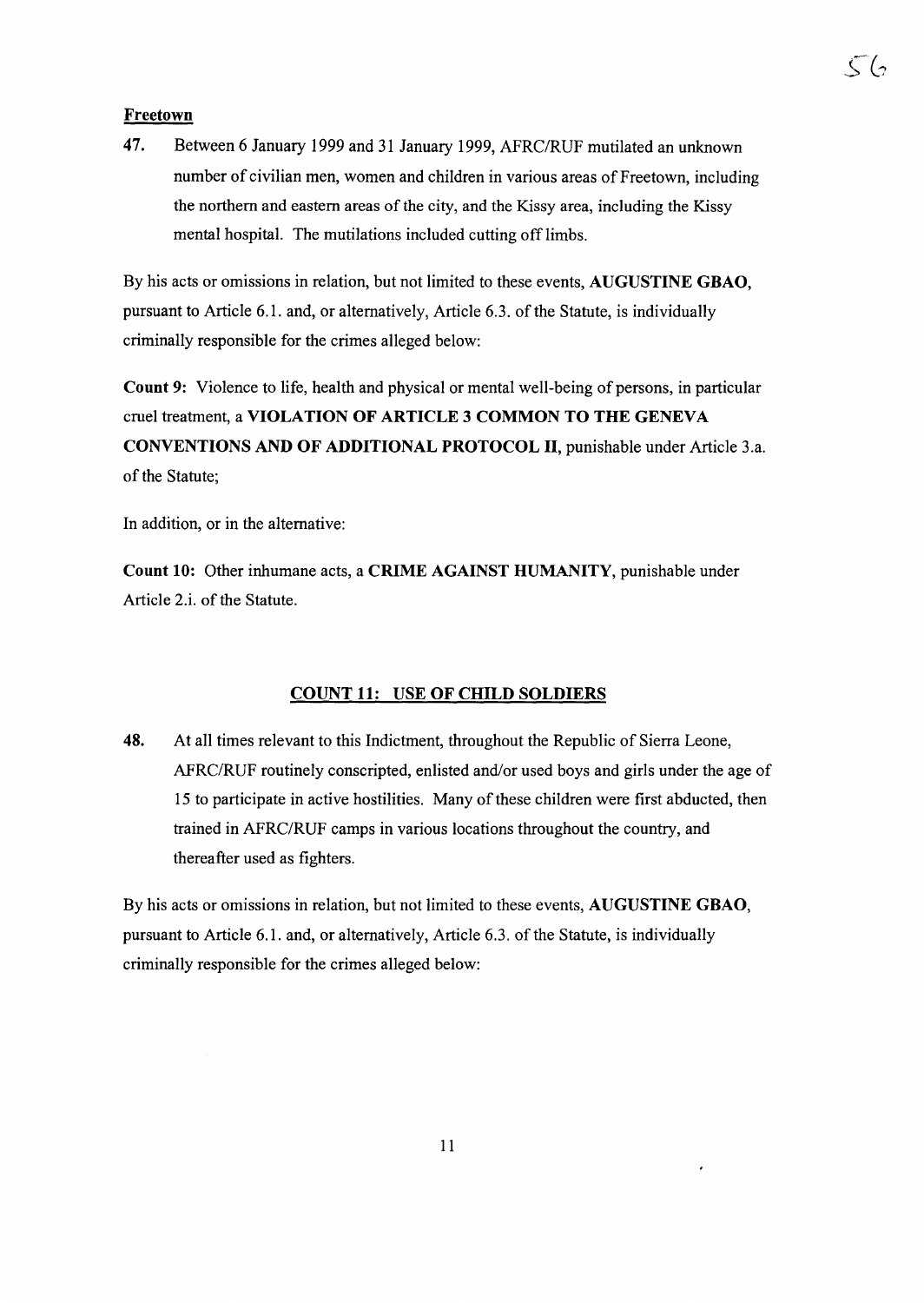47. Between 6 January 1999 and 31 January 1999, AFRC/RUF mutilated an unknown number of civilian men, women and children in various areas of Freetown, including the northern and eastern areas of the city, and the Kissy area, including the Kissy mental hospital. The mutilations included cutting off limbs.

 $\zeta(\cdot)$ 

By his acts or omissions in relation, but not limited to these events, AUGUSTINE GBAO, pursuant to Article 6.1. and, or alternatively, Article 6.3. of the Statute, is individually criminally responsible for the crimes alleged below:

Count 9: Violence to life, health and physical or mental well-being of persons, in particular cruel treatment, a VIOLATION OF ARTICLE 3 COMMON TO THE GENEVA CONVENTIONS AND OF ADDITIONAL PROTOCOL II, punishable under Article 3.a. of the Statute;

In addition, or in the alternative:

Count 10: Other inhumane acts, a CRIME AGAINST HUMANITY, punishable under Article 2.i. of the Statute.

#### COUNT 11: USE OF CHILD SOLDIERS

48. At all times relevant to this Indictment, throughout the Republic of Sierra Leone, AFRC/RUF routinely conscripted, enlisted and/or used boys and girls under the age of 15 to participate in active hostilities. Many of these children were first abducted, then trained in AFRC/RUF camps in various locations throughout the country, and thereafter used as fighters.

By his acts or omissions in relation, but not limited to these events, AUGUSTINE GBAO, pursuant to Article 6.1. and, or alternatively, Article 6.3. of the Statute, is individually criminally responsible for the crimes alleged below:

 $\epsilon$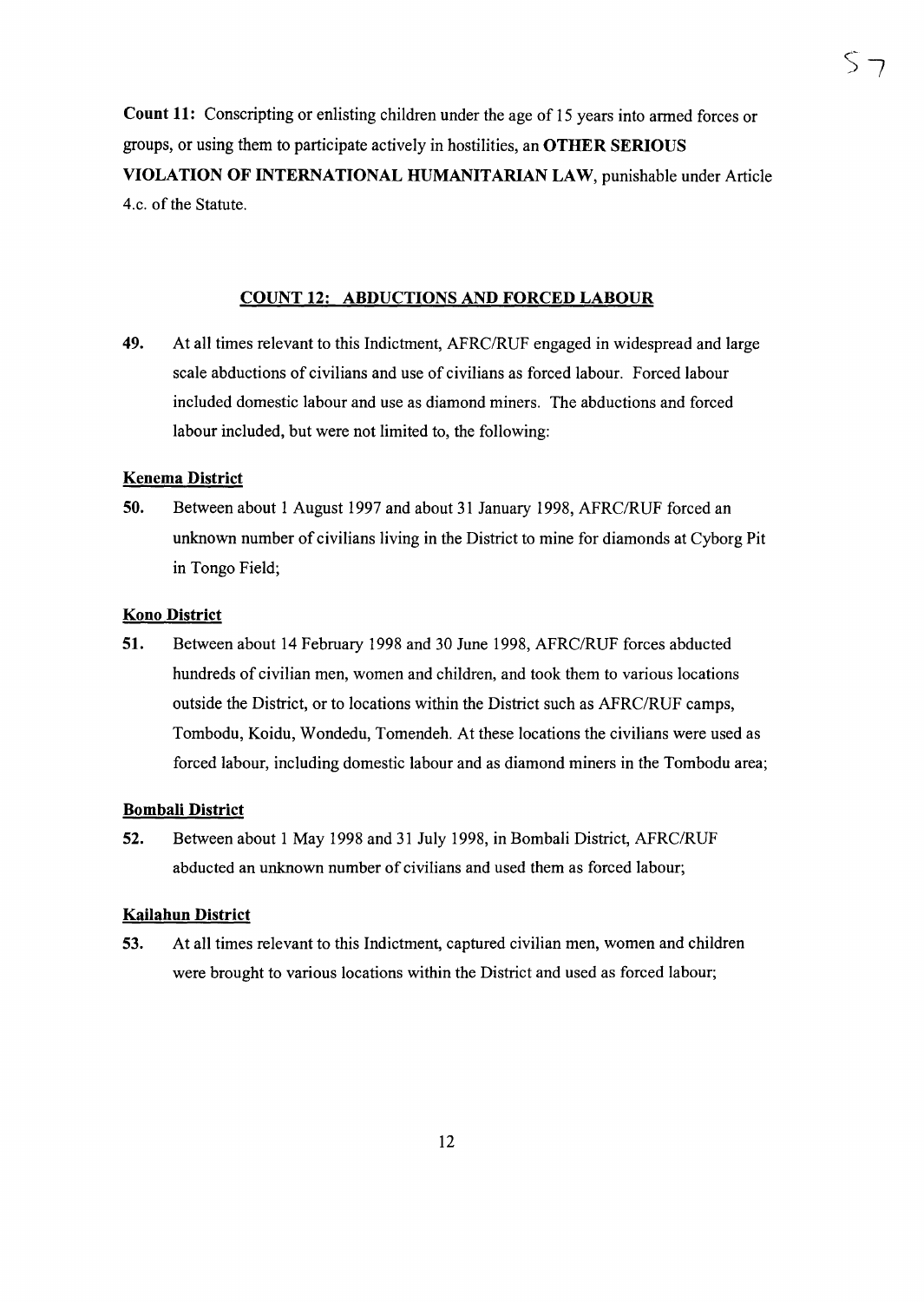Count 11: Conscripting or enlisting children under the age of 15 years into armed forces or groups, or using them to participate actively in hostilities, an OTHER SERIOUS VIOLATION OF INTERNATIONAL HUMANITARIAN LAW, punishable under Article 4.c. of the Statute.

#### COUNT 12: ABDUCTIONS AND FORCED LABOUR

49. At all times relevant to this Indictment, AFRC/RUF engaged in widespread and large scale abductions of civilians and use of civilians as forced labour. Forced labour included domestic labour and use as diamond miners. The abductions and forced labour included, but were not limited to, the following:

#### Kenema District

50. Between about 1 August 1997 and about 31 January 1998, AFRC/RUF forced an unknown number of civilians living in the District to mine for diamonds at Cyborg Pit in Tongo Field;

#### Kono District

51. Between about 14 February 1998 and 30 June 1998, AFRC/RUF forces abducted hundreds of civilian men, women and children, and took them to various locations outside the District, or to locations within the District such as AFRC/RUF camps, Tombodu, Koidu, Wondedu, Tomendeh. At these locations the civilians were used as forced labour, including domestic labour and as diamond miners in the Tombodu area;

#### Bombali District

52. Between about 1 May 1998 and 31 July 1998, in Bombali District, AFRC/RUF abducted an unknown number of civilians and used them as forced labour;

#### **Kailahun District**

53. At all times relevant to this Indictment, captured civilian men, women and children were brought to various locations within the District and used as forced labour;

 $\overline{5}$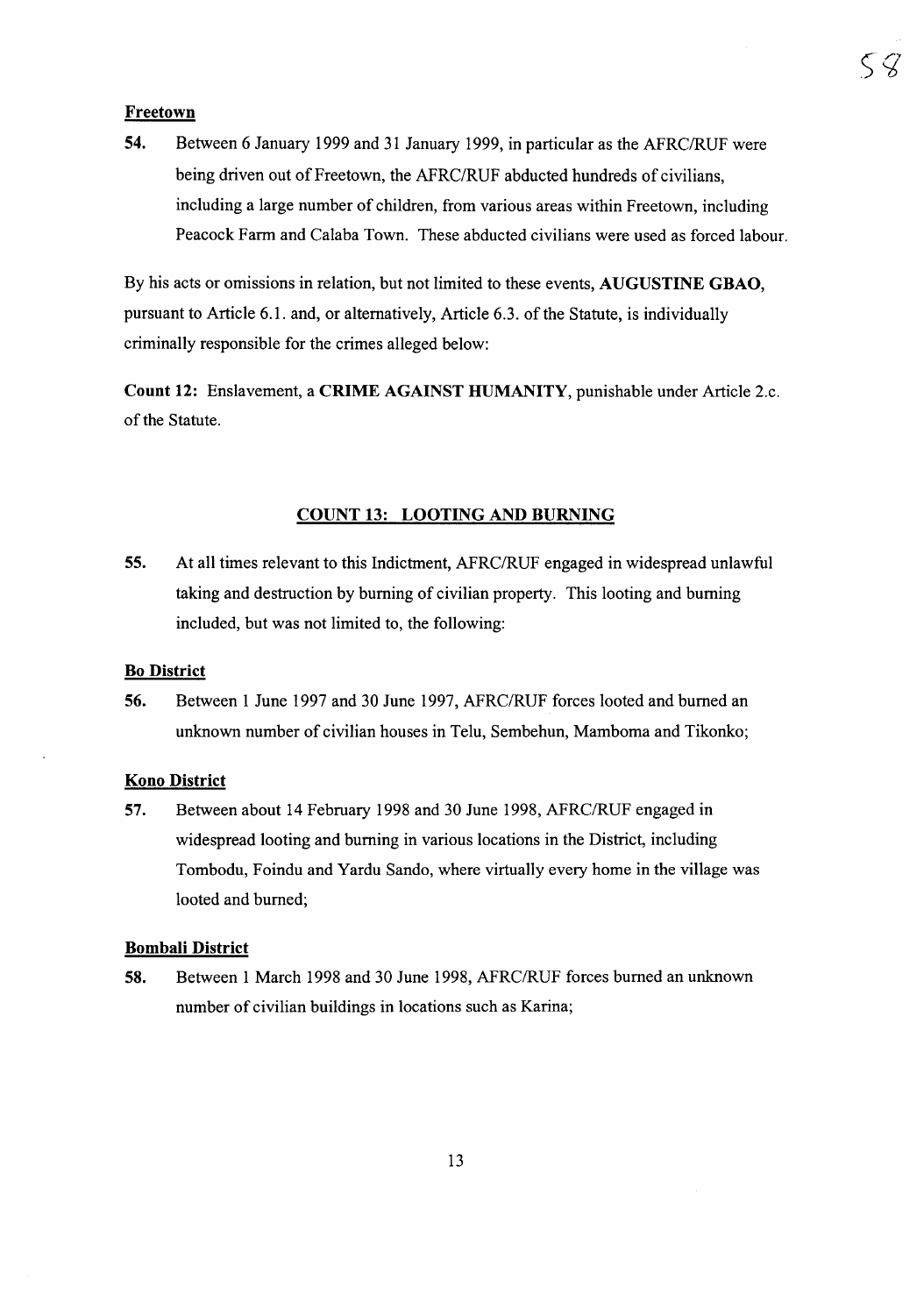54. Between 6 January 1999 and 31 January 1999, in particular as the AFRC/RUF were being driven out of Freetown, the AFRC/RUF abducted hundreds of civilians, including a large number of children, from various areas within Freetown, including Peacock Farm and Calaba Town. These abducted civilians were used as forced labour.

By his acts or omissions in relation, but not limited to these events, AUGUSTINE GBAO, pursuant to Article 6.1. and, or alternatively, Article 6.3. of the Statute, is individually criminally responsible for the crimes alleged below:

Count 12: Enslavement, a CRIME AGAINST HUMANITY, punishable under Article 2.c. of the Statute.

#### COUNT 13: LOOTING AND BURNING

55. At all times relevant to this Indictment, AFRC/RUF engaged in widespread unlawful taking and destruction by burning of civilian property. This looting and burning included, but was not limited to, the following:

#### Bo District

56. Between 1 June 1997 and 30 June 1997, AFRC/RUF forces looted and burned an unknown number of civilian houses in Telu, Sembehun, Mamboma and Tikonko;

#### Kono District

57. Between about 14 February 1998 and 30 June 1998, AFRC/RUF engaged in widespread looting and burning in various locations in the District, including Tombodu, Foindu and Yardu Sando, where virtually every home in the village was looted and burned;

#### Bombali District

58. Between 1 March 1998 and 30 June 1998, AFRC/RUF forces burned an unknown number of civilian buildings in locations such as Karina;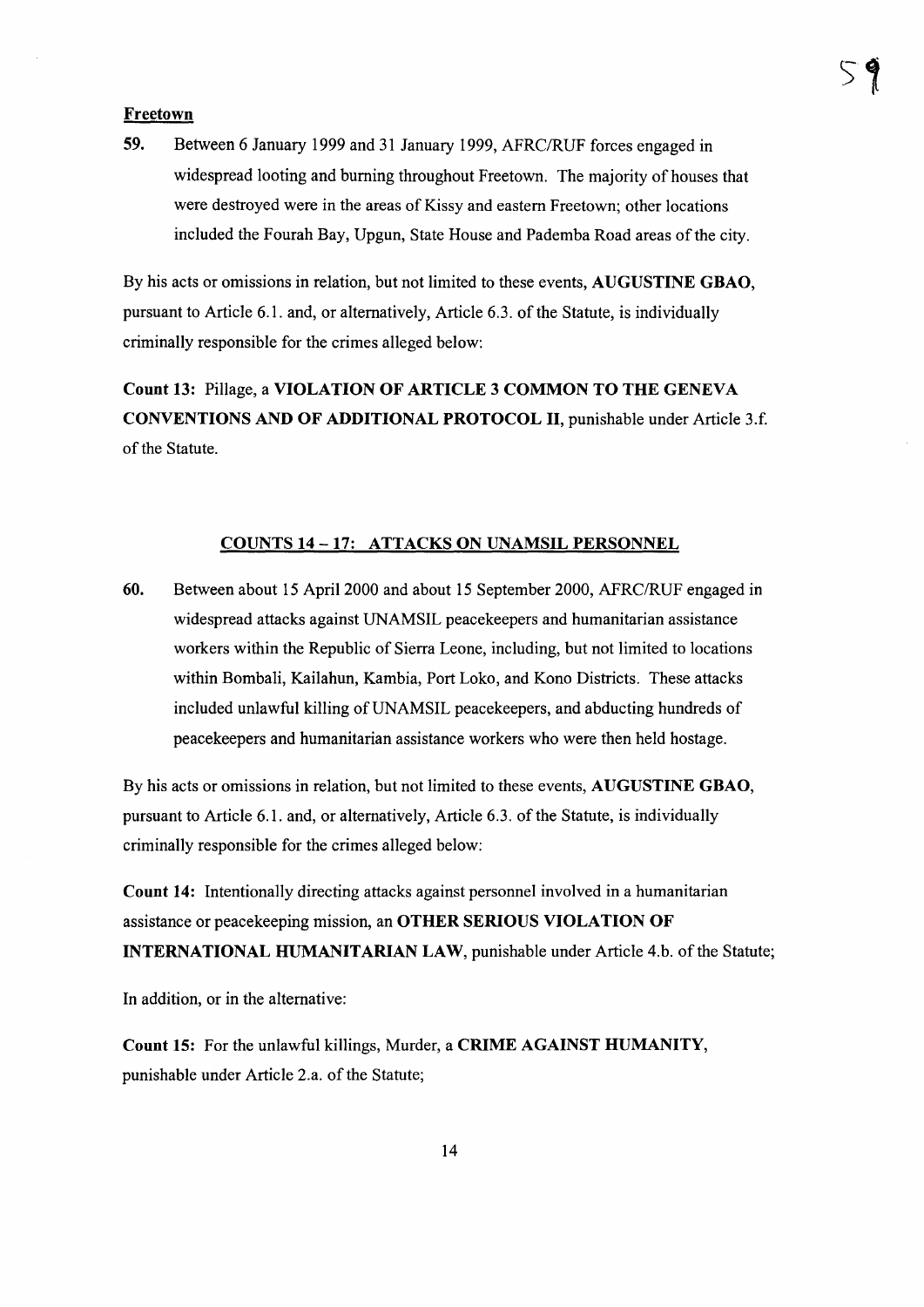59. Between 6 January 1999 and 31 January 1999, AFRC/RUF forces engaged in widespread looting and burning throughout Freetown. The majority of houses that were destroyed were in the areas of Kissy and eastern Freetown; other locations included the Fourah Bay, Upgun, State House and Pademba Road areas ofthe city.

By his acts or omissions in relation, but not limited to these events, AUGUSTINE GBAO, pursuant to Article 6.1. and, or alternatively, Article 6.3. of the Statute, is individually criminally responsible for the crimes alleged below:

Count 13: Pillage, a VIOLATION OF ARTICLE 3 COMMON TO THE GENEVA CONVENTIONS AND OF ADDITIONAL PROTOCOL II, punishable under Article 3.f. of the Statute.

#### COUNTS 14 -17: ATTACKS ON UNAMSIL PERSONNEL

60. Between about 15 April 2000 and about 15 September 2000, AFRC/RUF engaged in widespread attacks against UNAMSIL peacekeepers and humanitarian assistance workers within the Republic of Sierra Leone, including, but not limited to locations within Bombali, Kailahun, Kambia, Port Loko, and Kono Districts. These attacks included unlawful killing of UNAMSIL peacekeepers, and abducting hundreds of peacekeepers and humanitarian assistance workers who were then held hostage.

By his acts or omissions in relation, but not limited to these events, AUGUSTINE GBAO, pursuant to Article 6.1. and, or alternatively, Article 6.3. of the Statute, is individually criminally responsible for the crimes alleged below:

Count 14: Intentionally directing attacks against personnel involved in a humanitarian assistance or peacekeeping mission, an OTHER SERIOUS VIOLATION OF INTERNATIONAL HUMANITARIAN LAW, punishable under Article 4.b. of the Statute;

In addition, or in the alternative:

Count 15: For the unlawful killings, Murder, a CRIME AGAINST HUMANITY, punishable under Article 2.a. of the Statute;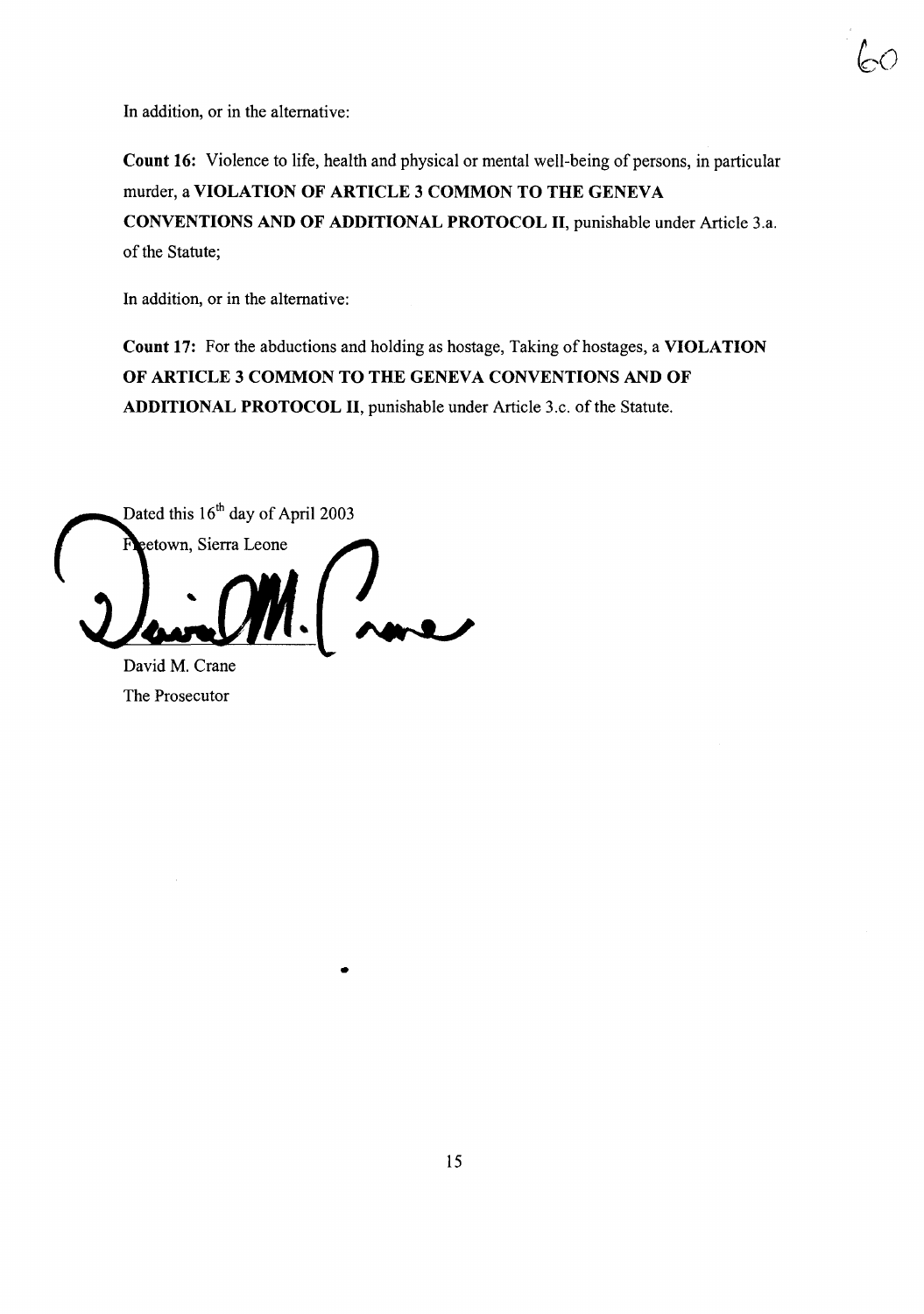

In addition, or in the alternative:

Count 16: Violence to life, health and physical or mental well-being of persons, in particular murder, a VIOLATION OF ARTICLE 3 COMMON TO THE GENEVA CONVENTIONS AND OF ADDITIONAL PROTOCOL II, punishable under Article 3.a. of the Statute;

In addition, or in the alternative:

Count 17: For the abductions and holding as hostage, Taking of hostages, a VIOLATION OF ARTICLE 3 COMMON TO THE GENEVA CONVENTIONS AND OF ADDITIONAL PROTOCOL II, punishable under Article 3.c. of the Statute.

Dated this 16<sup>th</sup> day of April 2003 eetown, Sierra Leone )<br>novel

David M. Crane The Prosecutor

•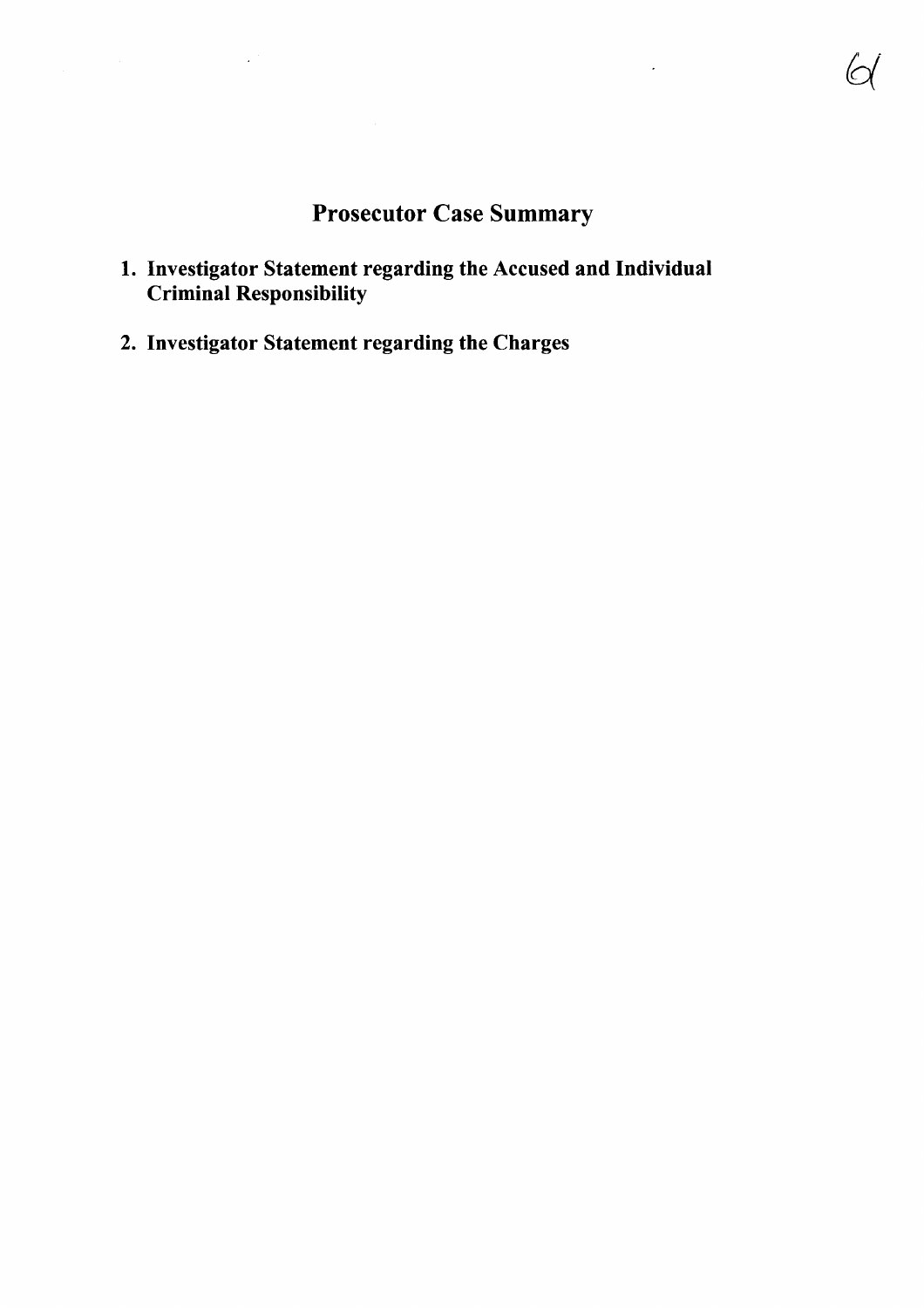## Prosecutor Case Summary

- 1. Investigator Statement regarding the Accused and Individual Criminal Responsibility
- 2. Investigator Statement regarding the Charges

 $\mathcal{A}$ 

 $\mathbb{Z}^2$